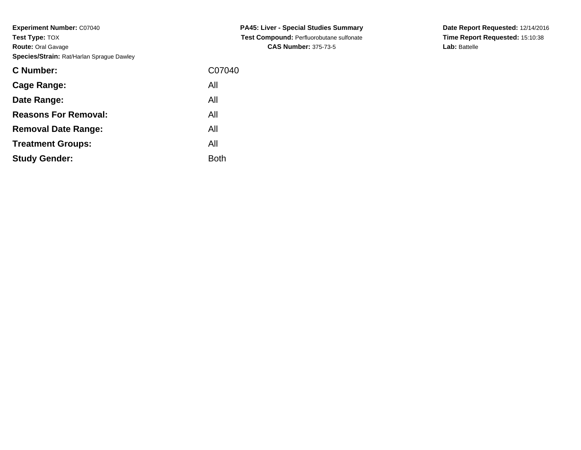**Experiment Number:** C07040**Test Type:** TOX **Route:** Oral Gavage**Species/Strain:** Rat/Harlan Sprague Dawley

| C07040      |
|-------------|
| All         |
| All         |
| All         |
| All         |
| All         |
| <b>Both</b> |
|             |

**PA45: Liver - Special Studies Summary Test Compound:** Perfluorobutane sulfonate**CAS Number:** 375-73-5

**Date Report Requested:** 12/14/2016 **Time Report Requested:** 15:10:38**Lab:** Battelle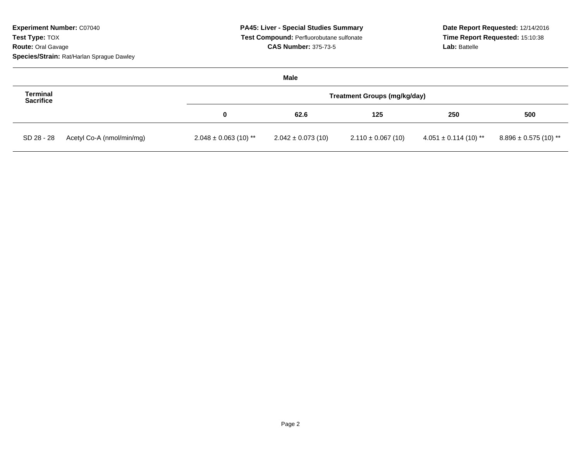| <b>Experiment Number: C07040</b><br>Test Type: TOX<br><b>Route: Oral Gavage</b> |                                           |                           | <b>PA45: Liver - Special Studies Summary</b><br>Test Compound: Perfluorobutane sulfonate<br><b>CAS Number: 375-73-5</b> |                       | Date Report Requested: 12/14/2016<br>Time Report Requested: 15:10:38<br>Lab: Battelle |                           |  |  |
|---------------------------------------------------------------------------------|-------------------------------------------|---------------------------|-------------------------------------------------------------------------------------------------------------------------|-----------------------|---------------------------------------------------------------------------------------|---------------------------|--|--|
|                                                                                 | Species/Strain: Rat/Harlan Sprague Dawley |                           |                                                                                                                         |                       |                                                                                       |                           |  |  |
|                                                                                 |                                           |                           | Male                                                                                                                    |                       |                                                                                       |                           |  |  |
| <b>Terminal</b><br><b>Sacrifice</b>                                             |                                           |                           | <b>Treatment Groups (mg/kg/day)</b>                                                                                     |                       |                                                                                       |                           |  |  |
|                                                                                 |                                           | $\bf{0}$                  | 62.6                                                                                                                    | 125                   | 250                                                                                   | 500                       |  |  |
| SD 28 - 28                                                                      | Acetyl Co-A (nmol/min/mg)                 | $2.048 \pm 0.063$ (10) ** | $2.042 \pm 0.073$ (10)                                                                                                  | $2.110 \pm 0.067(10)$ | $4.051 \pm 0.114$ (10) **                                                             | $8.896 \pm 0.575$ (10) ** |  |  |